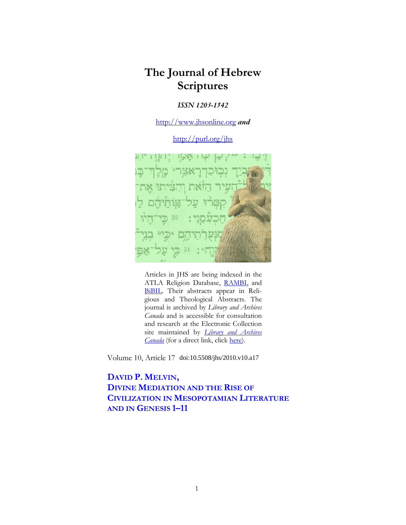# **The Journal of Hebrew Scriptures**

## *ISSN 1203-1542*

http://www.jhsonline.org *and*

http://purl.org/jhs



Articles in JHS are being indexed in the ATLA Religion Database, RAMBI, and BiBIL. Their abstracts appear in Religious and Theological Abstracts. The journal is archived by *Library and Archives Canada* and is accessible for consultation and research at the Electronic Collection site maintained by *Library and Archives Canada* (for a direct link, click here).

Volume 10, Article 17 doi:10.5508/jhs/2010.v10.a17

**DAVID P. MELVIN, DIVINE MEDIATION AND THE RISE OF CIVILIZATION IN MESOPOTAMIAN LITERATURE AND IN GENESIS 1–11**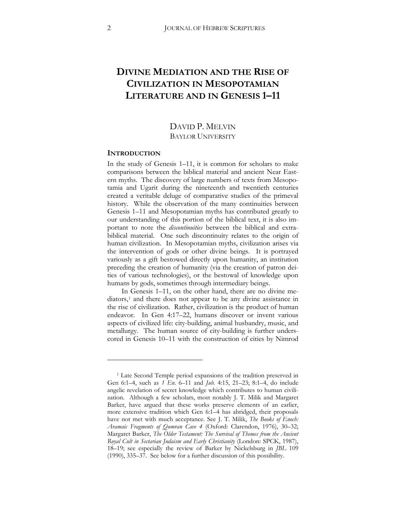## **DIVINE MEDIATION AND THE RISE OF CIVILIZATION IN MESOPOTAMIAN LITERATURE AND IN GENESIS 1–11**

## DAVID P. MELVIN BAYLOR UNIVERSITY

#### **INTRODUCTION**

 $\overline{a}$ 

In the study of Genesis 1–11, it is common for scholars to make comparisons between the biblical material and ancient Near Eastern myths. The discovery of large numbers of texts from Mesopotamia and Ugarit during the nineteenth and twentieth centuries created a veritable deluge of comparative studies of the primeval history. While the observation of the many continuities between Genesis 1–11 and Mesopotamian myths has contributed greatly to our understanding of this portion of the biblical text, it is also important to note the *discontinuities* between the biblical and extrabiblical material. One such discontinuity relates to the origin of human civilization. In Mesopotamian myths, civilization arises via the intervention of gods or other divine beings. It is portrayed variously as a gift bestowed directly upon humanity, an institution preceding the creation of humanity (via the creation of patron deities of various technologies), or the bestowal of knowledge upon humans by gods, sometimes through intermediary beings.

In Genesis 1–11, on the other hand, there are no divine me-diators,<sup>[1](#page-1-0)</sup> and there does not appear to be any divine assistance in the rise of civilization. Rather, civilization is the product of human endeavor. In Gen 4:17–22, humans discover or invent various aspects of civilized life: city-building, animal husbandry, music, and metallurgy. The human source of city-building is further underscored in Genesis 10–11 with the construction of cities by Nimrod

<span id="page-1-0"></span><sup>&</sup>lt;sup>1</sup> Late Second Temple period expansions of the tradition preserved in Gen 6:1–4, such as *1 En.* 6–11 and *Jub.* 4:15, 21–23; 8:1–4, do include angelic revelation of secret knowledge which contributes to human civilization. Although a few scholars, most notably J. T. Milik and Margaret Barker, have argued that these works preserve elements of an earlier, more extensive tradition which Gen 6:1–4 has abridged, their proposals have not met with much acceptance. See J. T. Milik, *The Books of Enoch: Aramaic Fragments of Qumran Cave 4* (Oxford: Clarendon, 1976), 30-32; Margaret Barker, *The Older Testament: The Survival of Themes from the Ancient Royal Cult in Sectarian Judaism and Early Christianity* (London: SPCK, 1987), 18–19; see especially the review of Barker by Nickelsburg in *JBL* 109 (1990), 335–37. See below for a further discussion of this possibility.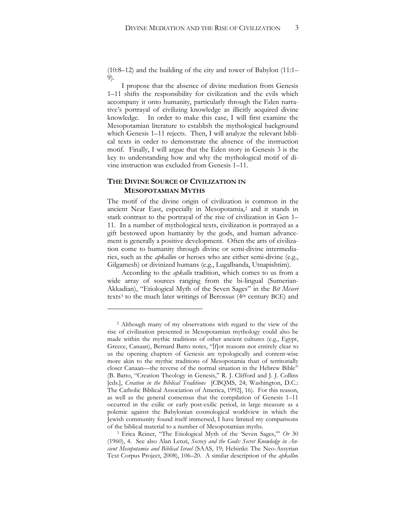(10:8–12) and the building of the city and tower of Babylon (11:1– 9).

I propose that the absence of divine mediation from Genesis 1–11 shifts the responsibility for civilization and the evils which accompany it onto humanity, particularly through the Eden narrative's portrayal of civilizing knowledge as illicitly acquired divine knowledge. In order to make this case, I will first examine the Mesopotamian literature to establish the mythological background which Genesis 1–11 rejects. Then, I will analyze the relevant biblical texts in order to demonstrate the absence of the instruction motif. Finally, I will argue that the Eden story in Genesis 3 is the key to understanding how and why the mythological motif of divine instruction was excluded from Genesis 1–11.

### **THE DIVINE SOURCE OF CIVILIZATION IN MESOPOTAMIAN MYTHS**

 $\ddot{\phantom{a}}$ 

The motif of the divine origin of civilization is common in the ancient Near East, especially in Mesopotamia,[2](#page-2-0) and it stands in stark contrast to the portrayal of the rise of civilization in Gen 1– 11. In a number of mythological texts, civilization is portrayed as a gift bestowed upon humanity by the gods, and human advancement is generally a positive development. Often the arts of civilization come to humanity through divine or semi-divine intermediaries, such as the *apkallu*s or heroes who are either semi-divine (e.g., Gilgamesh) or divinized humans (e.g., Lugalbanda, Utnapishtim).

According to the *apkallu* tradition, which comes to us from a wide array of sources ranging from the bi-lingual (Sumerian-Akkadian), "Etiological Myth of the Seven Sages" in the *Bit Mēseri* texts[3](#page-2-1) to the much later writings of Berossus (4th century BCE) and

<span id="page-2-0"></span><sup>2</sup> Although many of my observations with regard to the view of the rise of civilization presented in Mesopotamian mythology could also be made within the mythic traditions of other ancient cultures (e.g., Egypt, Greece, Canaan), Bernard Batto notes, "[f]or reasons not entirely clear to us the opening chapters of Genesis are typologically and content-wise more akin to the mythic traditions of Mesopotamia than of territorially closer Canaan—the reverse of the normal situation in the Hebrew Bible" (B. Batto, "Creation Theology in Genesis," R. J. Clifford and J. J. Collins [eds.], *Creation in the Biblical Traditions* [CBQMS, 24; Washington, D.C.: The Catholic Biblical Association of America, 1992], 16). For this reason, as well as the general consensus that the compilation of Genesis 1–11 occurred in the exilic or early post-exilic period, in large measure as a polemic against the Babylonian cosmological worldview in which the Jewish community found itself immersed, I have limited my comparisons of the biblical material to a number of Mesopotamian myths.

<span id="page-2-1"></span><sup>3</sup> Erica Reiner, "The Etiological Myth of the 'Seven Sages,'" *Or* 30 (1960), 4. See also Alan Lenzi, *Secrecy and the Gods: Secret Knowledge in An*cient Mesopotamia and Biblical Israel (SAAS, 19; Helsinki: The Neo-Assyrian Text Corpus Project, 2008), 106–20. A similar description of the *apkallu*s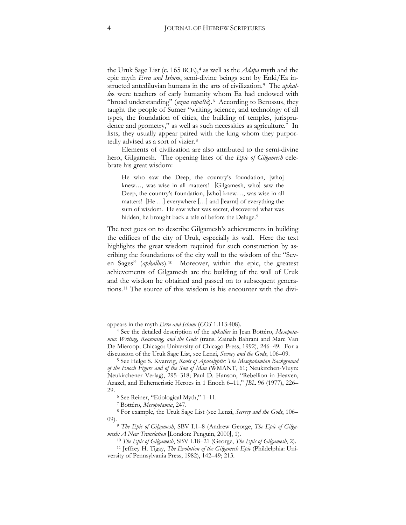the Uruk Sage List (c. 165 BCE),[4](#page-3-0) as well as the *Adapa* myth and the epic myth *Erra and Ishum*, semi-divine beings sent by Enki/Ea instructed antediluvian humans in the arts of civilization.[5](#page-3-1) The *apkallu*s were teachers of early humanity whom Ea had endowed with "broad understanding" (*uzna rapašta*).[6](#page-3-2) According to Berossus, they taught the people of Sumer "writing, science, and technology of all types, the foundation of cities, the building of temples, jurisprudence and geometry," as well as such necessities as agriculture.[7](#page-3-3) In lists, they usually appear paired with the king whom they purportedly advised as a sort of vizier.[8](#page-3-4)

Elements of civilization are also attributed to the semi-divine hero, Gilgamesh. The opening lines of the *Epic of Gilgamesh* celebrate his great wisdom:

He who saw the Deep, the country's foundation, [who] knew…, was wise in all matters! [Gilgamesh, who] saw the Deep, the country's foundation, [who] knew…, was wise in all matters! [He …] everywhere […] and [learnt] of everything the sum of wisdom. He saw what was secret, discovered what was hidden, he brought back a tale of before the Deluge.<sup>[9](#page-3-5)</sup>

The text goes on to describe Gilgamesh's achievements in building the edifices of the city of Uruk, especially its wall. Here the text highlights the great wisdom required for such construction by ascribing the foundations of the city wall to the wisdom of the "Seven Sages" (*apkallus*).<sup>[10](#page-3-6)</sup> Moreover, within the epic, the greatest achievements of Gilgamesh are the building of the wall of Uruk and the wisdom he obtained and passed on to subsequent generations.[11](#page-3-7) The source of this wisdom is his encounter with the divi-

-

<span id="page-3-0"></span>appears in the myth *Erra and Ishum* (*COS* 1.113:408).

<sup>&</sup>lt;sup>4</sup> See the detailed description of the *apkallus* in Jean Bottéro, *Mesopotamia: Writing, Reasoning, and the Gods* (trans. Zainab Bahrani and Marc Van De Mieroop; Chicago: University of Chicago Press, 1992), 246-49. For a discussion of the Uruk Sage List, see Lenzi, *Secrecy and the Gods*, 106–09.

<span id="page-3-1"></span><sup>&</sup>lt;sup>5</sup> See Helge S. Kvanvig, Roots of Apocalyptic: The Mesopotamian Background of the Enoch Figure and of the Son of Man (WMANT, 61; Neukirchen-Vluyn: Neukirchener Verlag), 295-318; Paul D. Hanson, "Rebellion in Heaven, Azazel, and Euhemeristic Heroes in 1 Enoch 6–11," *JBL* 96 (1977), 226– 29.

<sup>6</sup> See Reiner, "Etiological Myth," 1–11.

<sup>&</sup>lt;sup>7</sup> Bottéro, Mesopotamia, 247.

<span id="page-3-4"></span><span id="page-3-3"></span><span id="page-3-2"></span><sup>8</sup> For example, the Uruk Sage List (see Lenzi, *Secrecy and the Gods*, 106– 09).9 *The Epic of Gilgamesh*, SBV I.1–8 (Andrew George, *The Epic of Gilga-*

<span id="page-3-5"></span>*mesh: A New Translation* [London: Penguin, 2000], 1).

<sup>10</sup> *The Epic of Gilgamesh*, SBV I.18–21 (George, *The Epic of Gilgamesh*, 2). 11 Jeffrey H. Tigay, *The Evolution of the Gilgamesh Epic* (Phildelphia: Uni-

<span id="page-3-7"></span><span id="page-3-6"></span>versity of Pennsylvania Press, 1982), 142–49; 213.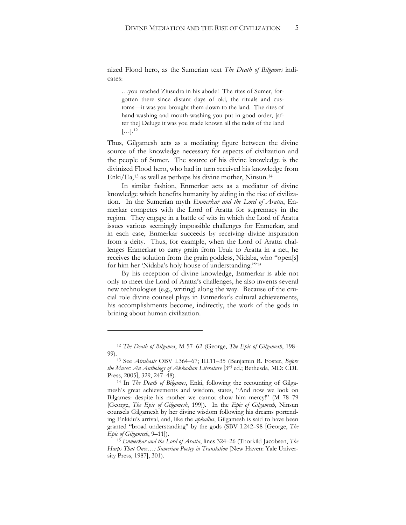nized Flood hero, as the Sumerian text *The Death of Bilgames* indicates:

…you reached Ziusudra in his abode! The rites of Sumer, forgotten there since distant days of old, the rituals and customs—it was you brought them down to the land. The rites of hand-washing and mouth-washing you put in good order, [after the] Deluge it was you made known all the tasks of the land  $[\ldots]$ .<sup>[12](#page-4-0)</sup>

Thus, Gilgamesh acts as a mediating figure between the divine source of the knowledge necessary for aspects of civilization and the people of Sumer. The source of his divine knowledge is the divinized Flood hero, who had in turn received his knowledge from Enki/Ea,[13](#page-4-1) as well as perhaps his divine mother, Ninsun.[14](#page-4-2)

In similar fashion, Enmerkar acts as a mediator of divine knowledge which benefits humanity by aiding in the rise of civilization. In the Sumerian myth *Enmerkar and the Lord of Aratta*, Enmerkar competes with the Lord of Aratta for supremacy in the region. They engage in a battle of wits in which the Lord of Aratta issues various seemingly impossible challenges for Enmerkar, and in each case, Enmerkar succeeds by receiving divine inspiration from a deity. Thus, for example, when the Lord of Aratta challenges Enmerkar to carry grain from Uruk to Aratta in a net, he receives the solution from the grain goddess, Nidaba, who "open[s] for him her 'Nidaba's holy house of understanding.'"[15](#page-4-3)

By his reception of divine knowledge, Enmerkar is able not only to meet the Lord of Aratta's challenges, he also invents several new technologies (e.g., writing) along the way. Because of the crucial role divine counsel plays in Enmerkar's cultural achievements, his accomplishments become, indirectly, the work of the gods in brining about human civilization.

<span id="page-4-0"></span><sup>12</sup> *The Death of Bilgames*, M 57–62 (George, *The Epic of Gilgamesh*, 198– 99).<br><sup>13</sup> See *Atrahasis* OBV I.364–67; III.11–35 (Benjamin R. Foster, *Before* 

<span id="page-4-1"></span>*the Muses: An Anthology of Akkadian Literature* [3rd ed.; Bethesda, MD: CDL Press, 2005], 329, 247–48).

<span id="page-4-2"></span><sup>14</sup> In *The Death of Bilgames*, Enki, following the recounting of Gilgamesh's great achievements and wisdom, states, "And now we look on Bilgames: despite his mother we cannot show him mercy!" (M 78–79 [George, *The Epic of Gilgamesh*, 199]). In the *Epic of Gilgamesh*, Ninsun counsels Gilgamesh by her divine wisdom following his dreams portending Enkidu's arrival, and, like the *apkallus*, Gilgamesh is said to have been granted "broad understanding" by the gods (SBV I.242–98 [George, *The Epic of Gilgamesh*, 9–11]).

<span id="page-4-3"></span><sup>15</sup> *Enmerkar and the Lord of Aratta*, lines 324–26 (Thorkild Jacobsen, *The Harps That Once…: Sumerian Poetry in Translation* [New Haven: Yale University Press, 1987], 301).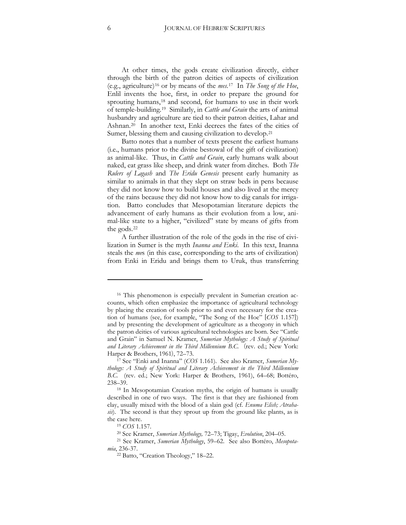At other times, the gods create civilization directly, either through the birth of the patron deities of aspects of civilization (e.g., agriculture)[16](#page-5-0) or by means of the *mes*.[17](#page-5-1) In *The Song of the Hoe*, Enlil invents the hoe, first, in order to prepare the ground for sprouting humans,[18](#page-5-2) and second, for humans to use in their work of temple-building.[19](#page-5-3) Similarly, in *Cattle and Grain* the arts of animal husbandry and agriculture are tied to their patron deities, Lahar and Ashnan.[20](#page-5-4) In another text, Enki decrees the fates of the cities of Sumer, blessing them and causing civilization to develop.[21](#page-5-5)

Batto notes that a number of texts present the earliest humans (i.e., humans prior to the divine bestowal of the gift of civilization) as animal-like. Thus, in *Cattle and Grain*, early humans walk about naked, eat grass like sheep, and drink water from ditches. Both *The Rulers of Lagash* and *The Eridu Genesis* present early humanity as similar to animals in that they slept on straw beds in pens because they did not know how to build houses and also lived at the mercy of the rains because they did not know how to dig canals for irrigation. Batto concludes that Mesopotamian literature depicts the advancement of early humans as their evolution from a low, animal-like state to a higher, "civilized" state by means of gifts from the gods.[22](#page-5-6)

A further illustration of the role of the gods in the rise of civilization in Sumer is the myth *Inanna and Enki*. In this text, Inanna steals the *me*s (in this case, corresponding to the arts of civilization) from Enki in Eridu and brings them to Uruk, thus transferring

 $\overline{a}$ 

<span id="page-5-0"></span><sup>16</sup> This phenomenon is especially prevalent in Sumerian creation accounts, which often emphasize the importance of agricultural technology by placing the creation of tools prior to and even necessary for the creation of humans (see, for example, "The Song of the Hoe" [*COS* 1.157]) and by presenting the development of agriculture as a theogony in which the patron deities of various agricultural technologies are born. See "Cattle and Grain" in Samuel N. Kramer, *Sumerian Mythology: A Study of Spiritual* and Literary Achievement in the Third Millennium B.C. (rev. ed.; New York:

<span id="page-5-1"></span>Harper & Brothers, 1961), 72–73.<br><sup>17</sup> See "Enki and Inanna" (*COS* 1.161). See also Kramer, *Sumerian My*thology: A Study of Spiritual and Literary Achievement in the Third Millennium *B.C.* (rev. ed.; New York: Harper & Brothers, 1961), 64–68; Bottéro, 238–39.

<span id="page-5-2"></span><sup>18</sup> In Mesopotamian Creation myths, the origin of humans is usually described in one of two ways. The first is that they are fashioned from clay, usually mixed with the blood of a slain god (cf. *Enuma Elish; Atrahasis*). The second is that they sprout up from the ground like plants, as is the case here.

<sup>19</sup> *COS* 1.157.

<sup>&</sup>lt;sup>20</sup> See Kramer, *Sumerian Mythology*, 72–73; Tigay, *Evolution*, 204–05.

<span id="page-5-6"></span><span id="page-5-5"></span><span id="page-5-4"></span><span id="page-5-3"></span><sup>&</sup>lt;sup>21</sup> See Kramer, *Sumerian Mythology*, 59–62. See also Bottéro, *Mesopotamia*, 236-37.

<sup>22</sup> Batto, "Creation Theology," 18–22.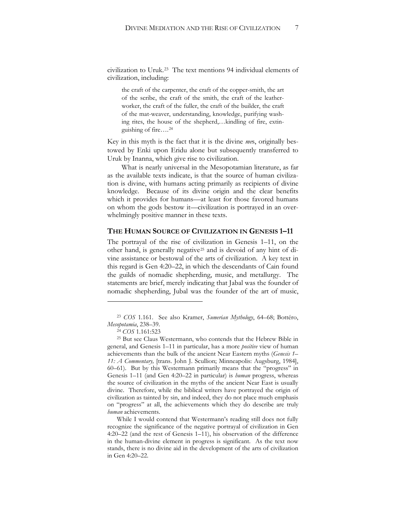civilization to Uruk.[23](#page-6-0) The text mentions 94 individual elements of civilization, including:

the craft of the carpenter, the craft of the copper-smith, the art of the scribe, the craft of the smith, the craft of the leatherworker, the craft of the fuller, the craft of the builder, the craft of the mat-weaver, understanding, knowledge, purifying washing rites, the house of the shepherd,…kindling of fire, extinguishing of fire….[24](#page-6-1)

Key in this myth is the fact that it is the divine *me*s, originally bestowed by Enki upon Eridu alone but subsequently transferred to Uruk by Inanna, which give rise to civilization.

What is nearly universal in the Mesopotamian literature, as far as the available texts indicate, is that the source of human civilization is divine, with humans acting primarily as recipients of divine knowledge. Because of its divine origin and the clear benefits which it provides for humans—at least for those favored humans on whom the gods bestow it—civilization is portrayed in an overwhelmingly positive manner in these texts.

#### **THE HUMAN SOURCE OF CIVILIZATION IN GENESIS 1–11**

The portrayal of the rise of civilization in Genesis 1–11, on the other hand, is generally negative[25](#page-6-2) and is devoid of any hint of divine assistance or bestowal of the arts of civilization. A key text in this regard is Gen 4:20–22, in which the descendants of Cain found the guilds of nomadic shepherding, music, and metallurgy. The statements are brief, merely indicating that Jabal was the founder of nomadic shepherding, Jubal was the founder of the art of music,

 $\overline{a}$ 

While I would contend that Westermann's reading still does not fully recognize the significance of the negative portrayal of civilization in Gen 4:20–22 (and the rest of Genesis 1–11), his observation of the difference in the human-divine element in progress is significant. As the text now stands, there is no divine aid in the development of the arts of civilization in Gen 4:20–22.

<span id="page-6-0"></span><sup>&</sup>lt;sup>23</sup> *COS* 1.161. See also Kramer, *Sumerian Mythology*, 64–68; Bottéro, *Mesopotamia*, 238-39.

<sup>24</sup> *COS* 1.161:523

<span id="page-6-2"></span><span id="page-6-1"></span><sup>25</sup> But see Claus Westermann, who contends that the Hebrew Bible in general, and Genesis 1–11 in particular, has a more *positive* view of human achievements than the bulk of the ancient Near Eastern myths (*Genesis 1–* 11: A Commentary, [trans. John J. Scullion; Minneapolis: Augsburg, 1984], 60–61). But by this Westermann primarily means that the "progress" in Genesis 1–11 (and Gen 4:20–22 in particular) is *human* progress, whereas the source of civilization in the myths of the ancient Near East is usually divine. Therefore, while the biblical writers have portrayed the origin of civilization as tainted by sin, and indeed, they do not place much emphasis on "progress" at all, the achievements which they do describe are truly *human* achievements.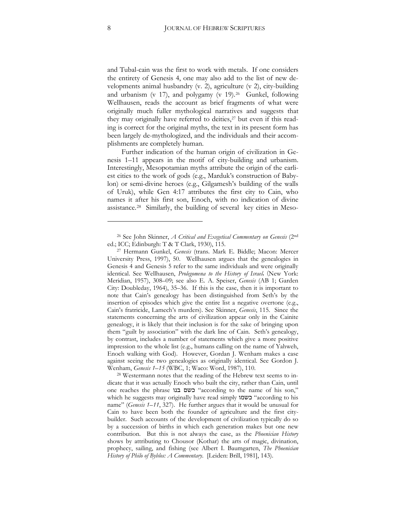and Tubal-cain was the first to work with metals. If one considers the entirety of Genesis 4, one may also add to the list of new developments animal husbandry (v. 2), agriculture (v 2), city-building and urbanism (v 17), and polygamy (v 19). $26$  Gunkel, following Wellhausen, reads the account as brief fragments of what were originally much fuller mythological narratives and suggests that they may originally have referred to deities,<sup>27</sup> but even if this reading is correct for the original myths, the text in its present form has been largely de-mythologized, and the individuals and their accomplishments are completely human.

Further indication of the human origin of civilization in Genesis 1–11 appears in the motif of city-building and urbanism. Interestingly, Mesopotamian myths attribute the origin of the earliest cities to the work of gods (e.g., Marduk's construction of Babylon) or semi-divine heroes (e.g., Gilgamesh's building of the walls of Uruk), while Gen 4:17 attributes the first city to Cain, who names it after his first son, Enoch, with no indication of divine assistance.[28](#page-7-2) Similarly, the building of several key cities in Meso-

<span id="page-7-0"></span><sup>26</sup> See John Skinner, *A Critical and Exegetical Commentary on Genesis* (2nd ed.; ICC; Edinburgh: T & T Clark, 1930), 115.

<span id="page-7-1"></span><sup>&</sup>lt;sup>27</sup> Hermann Gunkel, *Genesis* (trans. Mark E. Biddle; Macon: Mercer University Press, 1997), 50. Wellhausen argues that the genealogies in Genesis 4 and Genesis 5 refer to the same individuals and were originally identical. See Wellhausen, *Prolegomena to the History of Israel*, (New York: Meridian, 1957), 308–09; see also E. A. Speiser, *Genesis* (AB 1; Garden City: Doubleday, 1964), 35–36. If this is the case, then it is important to note that Cain's genealogy has been distinguished from Seth's by the insertion of episodes which give the entire list a negative overtone (e.g., Cain's fratricide, Lamech's murders). See Skinner, *Genesis*, 115. Since the statements concerning the arts of civilization appear only in the Cainite genealogy, it is likely that their inclusion is for the sake of bringing upon them "guilt by association" with the dark line of Cain. Seth's genealogy, by contrast, includes a number of statements which give a more positive impression to the whole list (e.g., humans calling on the name of Yahweh, Enoch walking with God). However, Gordan J. Wenham makes a case against seeing the two genealogies as originally identical. See Gordon J. Wenham, *Genesis 1–15* (WBC, 1; Waco: Word, 1987), 110.

<span id="page-7-2"></span><sup>28</sup> Westermann notes that the reading of the Hebrew text seems to indicate that it was actually Enoch who built the city, rather than Cain, until one reaches the phrase בעם בנו "according to the name of his son," which he suggests may originally have read simply "בשמו "according to his name" (*Genesis 1–11*, 327). He further argues that it would be unusual for Cain to have been both the founder of agriculture and the first citybuilder. Such accounts of the development of civilization typically do so by a succession of births in which each generation makes but one new contribution. But this is not always the case, as the *Phoenician History* shows by attributing to Chousor (Kothar) the arts of magic, divination, prophecy, sailing, and fishing (see Albert I. Baumgarten, *The Phoenician History of Philo of Byblos: A Commentary*. [Leiden: Brill, 1981], 143).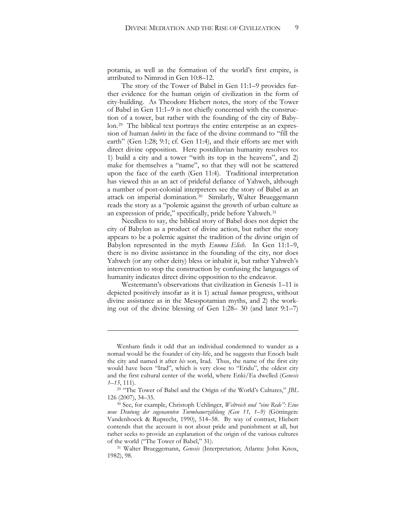potamia, as well as the formation of the world's first empire, is attributed to Nimrod in Gen 10:8–12.

The story of the Tower of Babel in Gen 11:1–9 provides further evidence for the human origin of civilization in the form of city-building. As Theodore Hiebert notes, the story of the Tower of Babel in Gen 11:1–9 is not chiefly concerned with the construction of a tower, but rather with the founding of the city of Babylon.[29](#page-8-0) The biblical text portrays the entire enterprise as an expression of human *hubris* in the face of the divine command to "fill the earth" (Gen 1:28; 9:1; cf. Gen 11:4), and their efforts are met with direct divine opposition. Here postdiluvian humanity resolves to: 1) build a city and a tower "with its top in the heavens", and 2) make for themselves a "name", so that they will not be scattered upon the face of the earth (Gen 11:4). Traditional interpretation has viewed this as an act of prideful defiance of Yahweh, although a number of post-colonial interpreters see the story of Babel as an attack on imperial domination.[30](#page-8-1) Similarly, Walter Brueggemann reads the story as a "polemic against the growth of urban culture as an expression of pride," specifically, pride before Yahweh.[31](#page-8-2)

Needless to say, the biblical story of Babel does not depict the city of Babylon as a product of divine action, but rather the story appears to be a polemic against the tradition of the divine origin of Babylon represented in the myth *Enuma Elish*. In Gen 11:1–9, there is no divine assistance in the founding of the city, nor does Yahweh (or any other deity) bless or inhabit it, but rather Yahweh's intervention to stop the construction by confusing the languages of humanity indicates direct divine opposition to the endeavor.

Westermann's observations that civilization in Genesis 1–11 is depicted positively insofar as it is 1) actual *human* progress, without divine assistance as in the Mesopotamian myths, and 2) the working out of the divine blessing of Gen 1:28– 30 (and later 9:1–7)

1

Wenham finds it odd that an individual condemned to wander as a nomad would be the founder of city-life, and he suggests that Enoch built the city and named it after *his* son, Irad. Thus, the name of the first city would have been "Irad", which is very close to "Eridu", the oldest city and the first cultural center of the world, where Enki/Ea dwelled (*Genesis 1–15*, 111).

<span id="page-8-0"></span><sup>29</sup> "The Tower of Babel and the Origin of the World's Cultures," *JBL* 126 (2007), 34–35.

<span id="page-8-1"></span><sup>30</sup> See, for example, Christoph Uehlinger, *Weltreich und "eine Rede": Eine neue Deutung der sogenannten Turmbauerzählung (Gen 11, 1–9)* (Göttingen: Vandenhoeck & Ruprecht, 1990), 514–58. By way of contrast, Hiebert contends that the account is not about pride and punishment at all, but rather seeks to provide an explanation of the origin of the various cultures of the world ("The Tower of Babel," 31).

<span id="page-8-2"></span><sup>&</sup>lt;sup>31</sup> Walter Brueggemann, *Genesis* (Interpretation; Atlanta: John Knox, 1982), 98.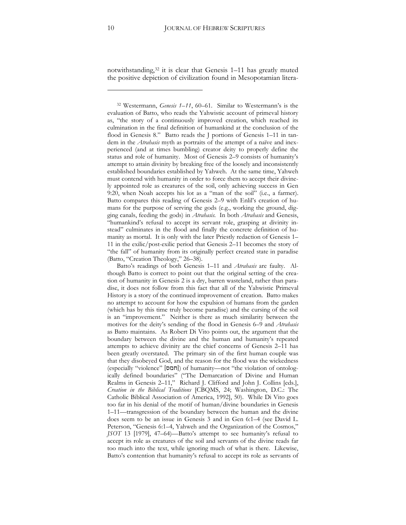notwithstanding,[32](#page-9-0) it is clear that Genesis 1–11 has greatly muted the positive depiction of civilization found in Mesopotamian litera-

<span id="page-9-0"></span><sup>32</sup> Westermann, *Genesis 1–11*, 60–61. Similar to Westermann's is the evaluation of Batto, who reads the Yahwistic account of primeval history as, "the story of a continuously improved creation, which reached its culmination in the final definition of humankind at the conclusion of the flood in Genesis 8." Batto reads the J portions of Genesis 1–11 in tandem in the *Atrahasis* myth as portraits of the attempt of a naïve and inexperienced (and at times bumbling) creator deity to properly define the status and role of humanity. Most of Genesis 2–9 consists of humanity's attempt to attain divinity by breaking free of the loosely and inconsistently established boundaries established by Yahweh. At the same time, Yahweh must contend with humanity in order to force them to accept their divinely appointed role as creatures of the soil, only achieving success in Gen 9:20, when Noah accepts his lot as a "man of the soil" (i.e., a farmer). Batto compares this reading of Genesis 2–9 with Enlil's creation of humans for the purpose of serving the gods (e.g., working the ground, digging canals, feeding the gods) in *Atrahasis*. In both *Atrahasis* and Genesis, "humankind's refusal to accept its servant role, grasping at divinity instead" culminates in the flood and finally the concrete definition of humanity as mortal. It is only with the later Priestly redaction of Genesis 1– 11 in the exilic/post-exilic period that Genesis 2–11 becomes the story of "the fall" of humanity from its originally perfect created state in paradise (Batto, "Creation Theology," 26–38).

Batto's readings of both Genesis 1–11 and *Atrahasis* are faulty. Although Batto is correct to point out that the original setting of the creation of humanity in Genesis 2 is a dry, barren wasteland, rather than paradise, it does not follow from this fact that all of the Yahwistic Primeval History is a story of the continued improvement of creation. Batto makes no attempt to account for how the expulsion of humans from the garden (which has by this time truly become paradise) and the cursing of the soil is an "improvement." Neither is there as much similarity between the motives for the deity's sending of the flood in Genesis 6–9 and *Atrahasis* as Batto maintains. As Robert Di Vito points out, the argument that the boundary between the divine and the human and humanity's repeated attempts to achieve divinity are the chief concerns of Genesis 2–11 has been greatly overstated. The primary sin of the first human couple was that they disobeyed God, and the reason for the flood was the wickedness (especially "violence" [חמס]) of humanity—not "the violation of ontologically defined boundaries" ("The Demarcation of Divine and Human Realms in Genesis 2–11," Richard J. Clifford and John J. Collins [eds.], *Creation in the Biblical Traditions* [CBQMS, 24; Washington, D.C.: The Catholic Biblical Association of America, 1992], 50). While Di Vito goes too far in his denial of the motif of human/divine boundaries in Genesis 1–11—transgression of the boundary between the human and the divine does seem to be an issue in Genesis 3 and in Gen 6:1–4 (see David L. Peterson, "Genesis 6:1–4, Yahweh and the Organization of the Cosmos," *JSOT* 13 [1979], 47–64)—Batto's attempt to see humanity's refusal to accept its role as creatures of the soil and servants of the divine reads far too much into the text, while ignoring much of what is there. Likewise, Batto's contention that humanity's refusal to accept its role as servants of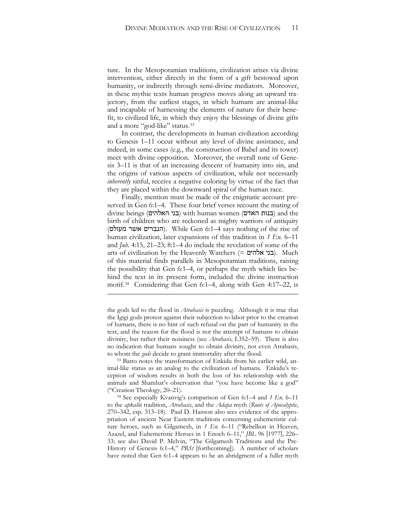ture. In the Mesopotamian traditions, civilization arises via divine intervention, either directly in the form of a gift bestowed upon humanity, or indirectly through semi-divine mediators. Moreover, in these mythic texts human progress moves along an upward trajectory, from the earliest stages, in which humans are animal-like and incapable of harnessing the elements of nature for their benefit, to civilized life, in which they enjoy the blessings of divine gifts and a more "god-like" status.[33](#page-10-0)

In contrast, the developments in human civilization according to Genesis 1–11 occur without any level of divine assistance, and indeed, in some cases (e.g., the construction of Babel and its tower) meet with divine opposition. Moreover, the overall tone of Genesis 3–11 is that of an increasing descent of humanity into sin, and the origins of various aspects of civilization, while not necessarily *inherently* sinful, receive a negative coloring by virtue of the fact that they are placed within the downward spiral of the human race.

Finally, mention must be made of the enigmatic account preserved in Gen 6:1–4. These four brief verses recount the mating of  $\alpha$ ובנות האדם) with human women (בנות האדם) and the birth of children who are reckoned as mighty warriors of antiquity (הגברים אשר מעולם). While Gen 6:1–4 says nothing of the rise of human civilization, later expansions of this tradition in *1 En.* 6–11 and  $\mu b$ . 4:15, 21–23; 8:1–4 do include the revelation of some of the arts of civilization by the Heavenly Watchers ( $=$  בני אלהים). Much of this material finds parallels in Mesopotamian traditions, raising the possibility that Gen 6:1–4, or perhaps the myth which lies behind the text in its present form, included the divine instruction motif.[34](#page-10-1) Considering that Gen 6:1–4, along with Gen 4:17–22, is

<u>.</u>

<span id="page-10-0"></span>to whom the *gods* decide to grant immortality after the flood.<br><sup>33</sup> Batto notes the transformation of Enkidu from his earlier wild, animal-like status as an analog to the civilization of humans. Enkidu's reception of wisdom results in both the loss of his relationship with the animals and Shamhat's observation that "you have become like a god" ("Creation Theology, 20–21).

the gods led to the flood in *Atrahasis* is puzzling. Although it is true that the Igigi gods protest against their subjection to labor prior to the creation of humans, there is no hint of such refusal on the part of humanity in the text, and the reason for the flood is not the attempt of humans to obtain divinity, but rather their noisiness (see *Atrahasis*, I.352–59). There is also no indication that humans sought to obtain divinity, not even Atrahasis,

<span id="page-10-1"></span><sup>34</sup> See especially Kvanvig's comparison of Gen 6:1–4 and *1 En.* 6–11 to the *apkallū* tradition, *Atrahasis*, and the *Adapa* myth (*Roots of Apocalyptic*, 270–342, esp. 313–18). Paul D. Hanson also sees evidence of the appropriation of ancient Near Eastern traditions concerning euhemeristic culture heroes, such as Gilgamesh, in *1 En.* 6–11 ("Rebellion in Heaven, Azazel, and Euhemeristic Heroes in 1 Enoch 6–11," *JBL* 96 [1977], 226– 33; see also David P. Melvin, "The Gilgamesh Traditions and the Pre-History of Genesis 6:1–4," *PRSt* [forthcoming]). A number of scholars have noted that Gen 6:1–4 appears to be an abridgment of a fuller myth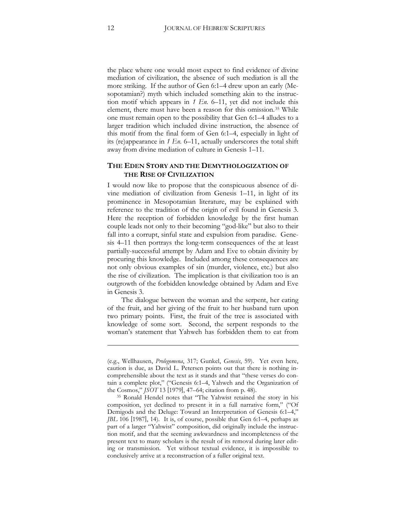the place where one would most expect to find evidence of divine mediation of civilization, the absence of such mediation is all the more striking. If the author of Gen 6:1–4 drew upon an early (Mesopotamian?) myth which included something akin to the instruction motif which appears in *1 En.* 6–11, yet did not include this element, there must have been a reason for this omission.[35](#page-11-0) While one must remain open to the possibility that Gen 6:1–4 alludes to a larger tradition which included divine instruction, the absence of this motif from the final form of Gen 6:1–4, especially in light of its (re)appearance in *1 En.* 6–11, actually underscores the total shift away from divine mediation of culture in Genesis 1–11.

#### **THE EDEN STORY AND THE DEMYTHOLOGIZATION OF THE RISE OF CIVILIZATION**

I would now like to propose that the conspicuous absence of divine mediation of civilization from Genesis 1–11, in light of its prominence in Mesopotamian literature, may be explained with reference to the tradition of the origin of evil found in Genesis 3. Here the reception of forbidden knowledge by the first human couple leads not only to their becoming "god-like" but also to their fall into a corrupt, sinful state and expulsion from paradise. Genesis 4–11 then portrays the long-term consequences of the at least partially-successful attempt by Adam and Eve to obtain divinity by procuring this knowledge. Included among these consequences are not only obvious examples of sin (murder, violence, etc.) but also the rise of civilization. The implication is that civilization too is an outgrowth of the forbidden knowledge obtained by Adam and Eve in Genesis 3.

The dialogue between the woman and the serpent, her eating of the fruit, and her giving of the fruit to her husband turn upon two primary points. First, the fruit of the tree is associated with knowledge of some sort. Second, the serpent responds to the woman's statement that Yahweh has forbidden them to eat from

**.** 

<sup>(</sup>e.g., Wellhausen, *Prolegomena*, 317; Gunkel, *Genesis*, 59). Yet even here, caution is due, as David L. Petersen points out that there is nothing incomprehensible about the text as it stands and that "these verses do contain a complete plot," ("Genesis 6:1–4, Yahweh and the Organization of the Cosmos," *JSOT* 13 [1979], 47–64; citation from p. 48).

<span id="page-11-0"></span><sup>35</sup> Ronald Hendel notes that "The Yahwist retained the story in his composition, yet declined to present it in a full narrative form," ("Of Demigods and the Deluge: Toward an Interpretation of Genesis 6:1–4," *JBL* 106 [1987], 14). It is, of course, possible that Gen 6:1–4, perhaps as part of a larger "Yahwist" composition, did originally include the instruction motif, and that the seeming awkwardness and incompleteness of the present text to many scholars is the result of its removal during later editing or transmission. Yet without textual evidence, it is impossible to conclusively arrive at a reconstruction of a fuller original text.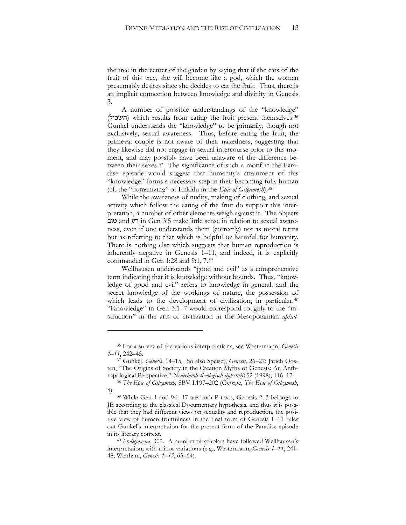the tree in the center of the garden by saying that if she eats of the fruit of this tree, she will become like a god, which the woman presumably desires since she decides to eat the fruit. Thus, there is an implicit connection between knowledge and divinity in Genesis 3.

A number of possible understandings of the "knowledge" (השכיל) which results from eating the fruit present themselves.<sup>[36](#page-12-0)</sup> Gunkel understands the "knowledge" to be primarily, though not exclusively, sexual awareness. Thus, before eating the fruit, the primeval couple is not aware of their nakedness, suggesting that they likewise did not engage in sexual intercourse prior to this moment, and may possibly have been unaware of the difference between their sexes[.37](#page-12-1) The significance of such a motif in the Paradise episode would suggest that humanity's attainment of this "knowledge" forms a necessary step in their becoming fully human (cf. the "humanizing" of Enkidu in the *Epic of Gilgamesh*).[38](#page-12-2) 

While the awareness of nudity, making of clothing, and sexual activity which follow the eating of the fruit do support this interpretation, a number of other elements weigh against it. The objects טוב and זור Gen 3:5 make little sense in relation to sexual awareness, even if one understands them (correctly) not as moral terms but as referring to that which is helpful or harmful for humanity. There is nothing else which suggests that human reproduction is inherently negative in Genesis 1–11, and indeed, it is explicitly commanded in Gen 1:28 and 9:1, 7.[39](#page-12-3)

Wellhausen understands "good and evil" as a comprehensive term indicating that it is knowledge without bounds. Thus, "knowledge of good and evil" refers to knowledge in general, and the secret knowledge of the workings of nature, the possession of which leads to the development of civilization, in particular.<sup>[40](#page-12-4)</sup> "Knowledge" in Gen 3:1–7 would correspond roughly to the "instruction" in the arts of civilization in the Mesopotamian *apkal-*

<span id="page-12-0"></span><sup>36</sup> For a survey of the various interpretations, see Westermann, *Genesis 1–11*, 242–45.

<span id="page-12-1"></span><sup>&</sup>lt;sup>37</sup> Gunkel, *Genesis*, 14-15. So also Speiser, *Genesis*, 26-27; Jarich Oosten, "The Origins of Society in the Creation Myths of Genesis: An Anthropological Perspective," *Nederlands theologisch tijdschrift* 52 (1998), 116–17.

<sup>38</sup> *The Epic of Gilgamesh*, SBV I.197–202 (George, *The Epic of Gilgamesh*,

<span id="page-12-3"></span><span id="page-12-2"></span><sup>8). 39</sup> While Gen 1 and 9:1–17 are both P texts, Genesis 2–3 belongs to JE according to the classical Documentary hypothesis, and thus it is possible that they had different views on sexuality and reproduction, the positive view of human fruitfulness in the final form of Genesis 1–11 rules out Gunkel's interpretation for the present form of the Paradise episode in its literary context. 40 *Prolegomena*, 302. A number of scholars have followed Wellhausen's

<span id="page-12-4"></span>interpretation, with minor variations (e.g., Westermann, *Genesis 1–11*, 241- 48; Wenham, *Genesis 1–15*, 63–64).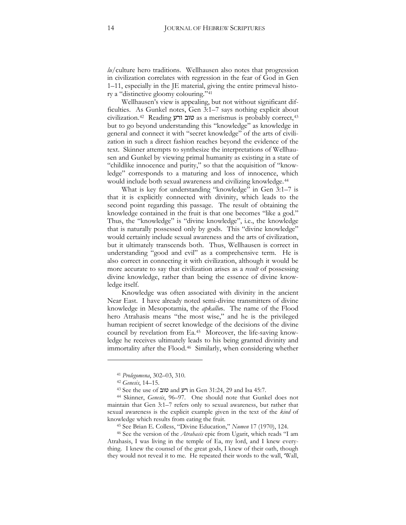*lu*/culture hero traditions. Wellhausen also notes that progression in civilization correlates with regression in the fear of God in Gen 1–11, especially in the JE material, giving the entire primeval history a "distinctive gloomy colouring."[41](#page-13-0) 

Wellhausen's view is appealing, but not without significant difficulties. As Gunkel notes, Gen 3:1–7 says nothing explicit about civilization.<sup>[42](#page-13-1)</sup> Reading **3: טוב ורע** as a merismus is probably correct,<sup>[43](#page-13-2)</sup> but to go beyond understanding this "knowledge" as knowledge in general and connect it with "secret knowledge" of the arts of civilization in such a direct fashion reaches beyond the evidence of the text. Skinner attempts to synthesize the interpretations of Wellhausen and Gunkel by viewing primal humanity as existing in a state of "childlike innocence and purity," so that the acquisition of "knowledge" corresponds to a maturing and loss of innocence, which would include both sexual awareness and civilizing knowledge.[44](#page-13-3)

What is key for understanding "knowledge" in Gen 3:1–7 is that it is explicitly connected with divinity, which leads to the second point regarding this passage. The result of obtaining the knowledge contained in the fruit is that one becomes "like a god." Thus, the "knowledge" is "divine knowledge", i.e., the knowledge that is naturally possessed only by gods. This "divine knowledge" would certainly include sexual awareness and the arts of civilization, but it ultimately transcends both. Thus, Wellhausen is correct in understanding "good and evil" as a comprehensive term. He is also correct in connecting it with civilization, although it would be more accurate to say that civilization arises as a *result* of possessing divine knowledge, rather than being the essence of divine knowledge itself.

Knowledge was often associated with divinity in the ancient Near East. I have already noted semi-divine transmitters of divine knowledge in Mesopotamia, the *apkallu*s. The name of the Flood hero Atrahasis means "the most wise," and he is the privileged human recipient of secret knowledge of the decisions of the divine council by revelation from Ea.[45](#page-13-4) Moreover, the life-saving knowledge he receives ultimately leads to his being granted divinity and immortality after the Flood.[46](#page-13-5) Similarly, when considering whether

 $\overline{a}$ 

<sup>41</sup> *Prolegomena*, 302–03, 310.

<sup>42</sup> *Genesis*, 14–15.

<sup>43</sup> See the use of יוב and y in Gen 31:24, 29 and Isa 45:7.

<span id="page-13-3"></span><span id="page-13-2"></span><span id="page-13-1"></span><span id="page-13-0"></span><sup>44</sup> Skinner, *Genesis*, 96–97. One should note that Gunkel does not maintain that Gen 3:1–7 refers only to sexual awareness, but rather that sexual awareness is the explicit example given in the text of the *kind* of knowledge which results from eating the fruit. 45 See Brian E. Colless, "Divine Education," *Numen* 17 (1970), 124.

<span id="page-13-5"></span><span id="page-13-4"></span><sup>46</sup> See the version of the *Atrahasis* epic from Ugarit, which reads "I am Atrahasis, I was living in the temple of Ea, my lord, and I knew everything. I knew the counsel of the great gods, I knew of their oath, though they would not reveal it to me. He repeated their words to the wall, 'Wall,